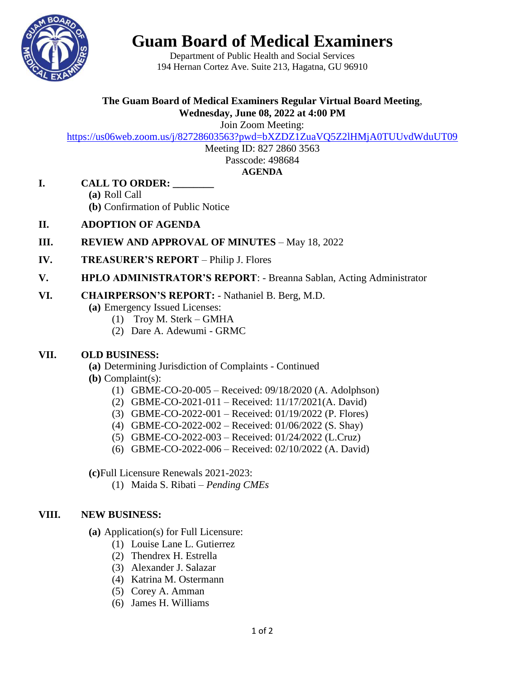

# **Guam Board of Medical Examiners**

Department of Public Health and Social Services 194 Hernan Cortez Ave. Suite 213, Hagatna, GU 96910

## **The Guam Board of Medical Examiners Regular Virtual Board Meeting**, **Wednesday, June 08, 2022 at 4:00 PM**

Join Zoom Meeting:

<https://us06web.zoom.us/j/82728603563?pwd=bXZDZ1ZuaVQ5Z2lHMjA0TUUvdWduUT09>

Meeting ID: 827 2860 3563 Passcode: 498684

#### **AGENDA**

### **I. CALL TO ORDER: \_\_\_\_\_\_\_\_**

- **(a)** Roll Call
- **(b)** Confirmation of Public Notice
- **II. ADOPTION OF AGENDA**
- **III. REVIEW AND APPROVAL OF MINUTES** May 18, 2022
- **IV. TREASURER'S REPORT** Philip J. Flores
- **V. HPLO ADMINISTRATOR'S REPORT**: Breanna Sablan, Acting Administrator

#### **VI. CHAIRPERSON'S REPORT:** - Nathaniel B. Berg, M.D.

**(a)** Emergency Issued Licenses:

- (1) Troy M. Sterk GMHA
- (2) Dare A. Adewumi GRMC

### **VII. OLD BUSINESS:**

- **(a)** Determining Jurisdiction of Complaints Continued
- **(b)** Complaint(s):
	- (1) GBME-CO-20-005 Received: 09/18/2020 (A. Adolphson)
	- (2) GBME-CO-2021-011 Received: 11/17/2021(A. David)
	- (3) GBME-CO-2022-001 Received: 01/19/2022 (P. Flores)
	- (4) GBME-CO-2022-002 Received: 01/06/2022 (S. Shay)
	- (5) GBME-CO-2022-003 Received: 01/24/2022 (L.Cruz)
	- (6) GBME-CO-2022-006 Received: 02/10/2022 (A. David)

**(c)**Full Licensure Renewals 2021-2023:

(1) Maida S. Ribati – *Pending CMEs*

### **VIII. NEW BUSINESS:**

**(a)** Application(s) for Full Licensure:

- (1) Louise Lane L. Gutierrez
- (2) Thendrex H. Estrella
- (3) Alexander J. Salazar
- (4) Katrina M. Ostermann
- (5) Corey A. Amman
- (6) James H. Williams